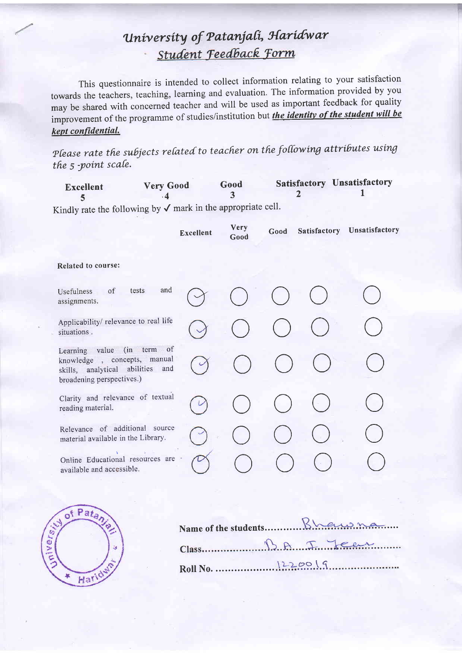This questionnaire is intended to collect information relating to your satisfaction towards the teachers, teaching, learning and evaluation. The information provided by you may be shared with concerned teacher and will be used as important feedback for quality improvement of the programme of studies/institution but the identity of the student will be kept confidential.

Please rate the subjects related to teacher on the following attributes using the 5 -point scale.

| <b>Excellent</b> | <b>Very Good</b> | Good | <b>Satisfactory Unsatisfactory</b> |
|------------------|------------------|------|------------------------------------|
|                  |                  |      |                                    |

|                                                                                                                                  | <b>Excellent</b> | <b>Very</b><br>Good | Good | Satisfactory Unsatisfactory |
|----------------------------------------------------------------------------------------------------------------------------------|------------------|---------------------|------|-----------------------------|
| <b>Related to course:</b>                                                                                                        |                  |                     |      |                             |
| and<br>of<br>tests<br>Usefulness<br>assignments.                                                                                 |                  |                     |      |                             |
| Applicability/ relevance to real life<br>situations.                                                                             |                  |                     |      |                             |
| of<br>Learning value (in term<br>knowledge, concepts, manual<br>skills, analytical abilities<br>and<br>broadening perspectives.) |                  |                     |      |                             |
| Clarity and relevance of textual<br>reading material.                                                                            |                  |                     |      |                             |
| Relevance of additional source<br>material available in the Library.                                                             |                  |                     |      |                             |
| Online Educational resources are<br>available and accessible.                                                                    |                  |                     |      |                             |



| Class 12.8 7.22 |
|-----------------|
|                 |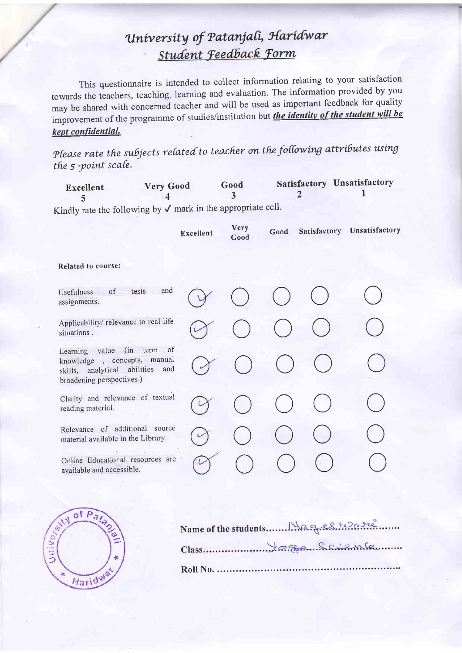This questionnaire is intended to collect information relating to your satisfaction towards the teachers, teaching, learning and evaluation. The information provided by you may be shared with concerned teacher and will be used as important feedback for quality improvement of the programme of studies/institution but the identity of the student will be kept confidential.

Please rate the subjects related to teacher on the following attributes using the 5 -point scale.

| <b>Excellent</b> | <b>Very Good</b> | Good | <b>Satisfactory Unsatisfactory</b> |
|------------------|------------------|------|------------------------------------|
|                  |                  |      |                                    |

|                                                                                                                                        | <b>Excellent</b> | Very<br>Good | Good | Satisfactory | Unsatisfactory |
|----------------------------------------------------------------------------------------------------------------------------------------|------------------|--------------|------|--------------|----------------|
| Related to course:                                                                                                                     |                  |              |      |              |                |
| and<br>tests<br>of<br>Usefulness<br>assignments.                                                                                       |                  |              |      |              |                |
| Applicability/ relevance to real life<br>situations.                                                                                   |                  |              |      |              |                |
| of<br>Learning value (in<br>term<br>knowledge, concepts, manual<br>abilities<br>and<br>skills, analytical<br>broadening perspectives.) |                  |              |      |              |                |
| Clarity and relevance of textual<br>reading material.                                                                                  |                  |              |      |              |                |
| Relevance of additional source<br>material available in the Library.                                                                   |                  |              |      |              |                |
| Online Educational resources are<br>available and accessible.                                                                          |                  |              |      |              |                |

|   | of $Pa_{i}$ |  |
|---|-------------|--|
| ۲ |             |  |
|   |             |  |
|   | ari         |  |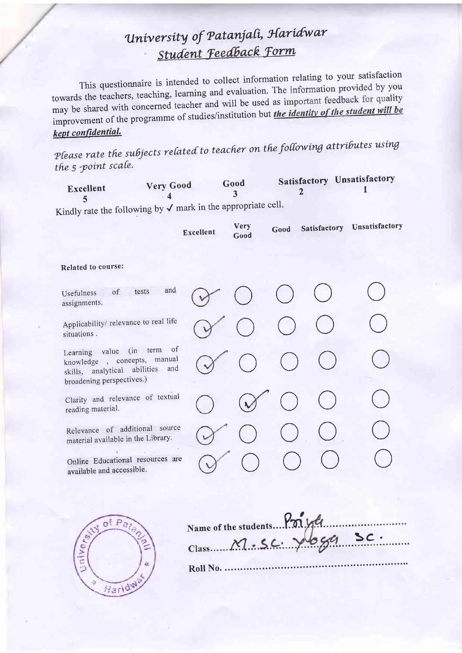This questionnaire is intended to collect information relating to your satisfaction towards the teachers, teaching, learning and evaluation. The information provided by you may be shared with concerned teacher and will be used as important feedback for quality improvement of the programme of studies/institution but the identity of the student will be kept confidential.

Please rate the subjects related to teacher on the following attributes using the 5 -point scale.

|           | <b>Very Good</b> | Good | <b>Satisfactory Unsatisfactory</b> |
|-----------|------------------|------|------------------------------------|
| Excellent |                  |      |                                    |

| Excellent                        | Very<br>Good | Good | Unsatisfactory |
|----------------------------------|--------------|------|----------------|
|                                  |              |      |                |
|                                  |              |      |                |
|                                  |              |      |                |
|                                  |              |      |                |
| Clarity and relevance of textual |              |      |                |
| Relevance of additional source   |              |      |                |
| Online Educational resources are |              |      |                |
|                                  |              |      | Satisfactory   |



|  |  | Name of the students Poi yée |
|--|--|------------------------------|
|  |  |                              |